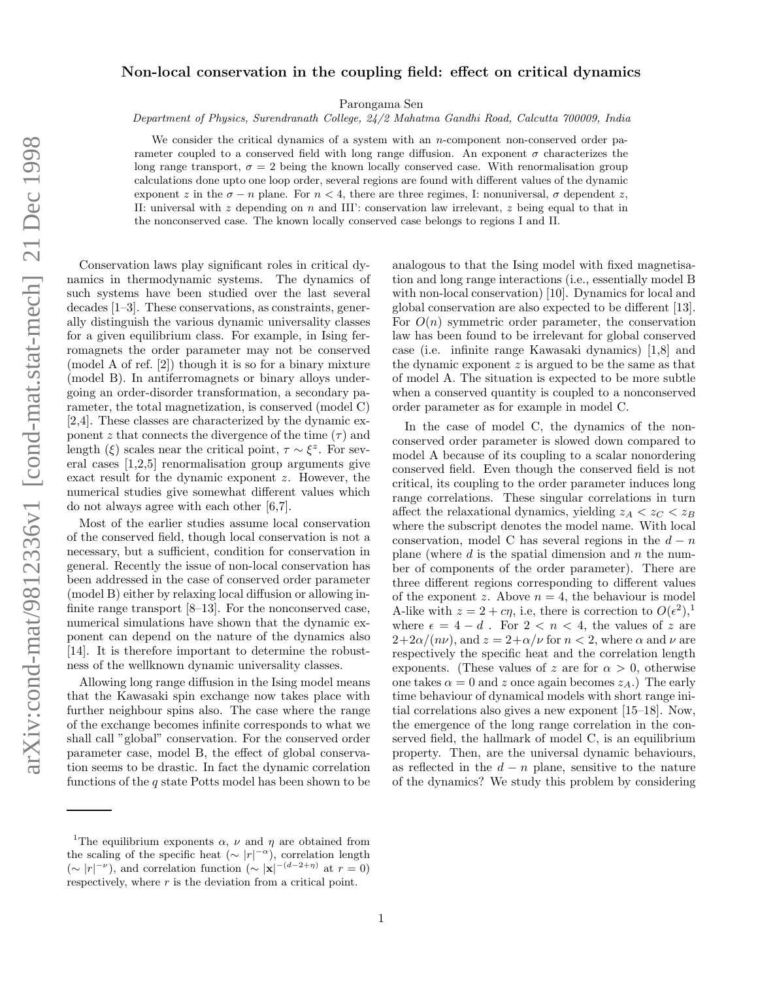## Non-local conservation in the coupling field: effect on critical dynamics

Parongama Sen

Department of Physics, Surendranath College, 24/2 Mahatma Gandhi Road, Calcutta 700009, India

We consider the critical dynamics of a system with an  $n$ -component non-conserved order parameter coupled to a conserved field with long range diffusion. An exponent  $\sigma$  characterizes the long range transport,  $\sigma = 2$  being the known locally conserved case. With renormalisation group calculations done upto one loop order, several regions are found with different values of the dynamic exponent z in the  $\sigma - n$  plane. For  $n < 4$ , there are three regimes, I: nonuniversal,  $\sigma$  dependent z, II: universal with z depending on n and III': conservation law irrelevant, z being equal to that in the nonconserved case. The known locally conserved case belongs to regions I and II.

Conservation laws play significant roles in critical dynamics in thermodynamic systems. The dynamics of such systems have been studied over the last several decades [1–3]. These conservations, as constraints, generally distinguish the various dynamic universality classes for a given equilibrium class. For example, in Ising ferromagnets the order parameter may not be conserved (model A of ref. [2]) though it is so for a binary mixture (model B). In antiferromagnets or binary alloys undergoing an order-disorder transformation, a secondary parameter, the total magnetization, is conserved (model C) [2,4]. These classes are characterized by the dynamic exponent z that connects the divergence of the time  $(\tau)$  and length  $(\xi)$  scales near the critical point,  $\tau \sim \xi^z$ . For several cases [1,2,5] renormalisation group arguments give exact result for the dynamic exponent z. However, the numerical studies give somewhat different values which do not always agree with each other [6,7].

Most of the earlier studies assume local conservation of the conserved field, though local conservation is not a necessary, but a sufficient, condition for conservation in general. Recently the issue of non-local conservation has been addressed in the case of conserved order parameter (model B) either by relaxing local diffusion or allowing infinite range transport [8–13]. For the nonconserved case, numerical simulations have shown that the dynamic exponent can depend on the nature of the dynamics also [14]. It is therefore important to determine the robustness of the wellknown dynamic universality classes.

Allowing long range diffusion in the Ising model means that the Kawasaki spin exchange now takes place with further neighbour spins also. The case where the range of the exchange becomes infinite corresponds to what we shall call "global" conservation. For the conserved order parameter case, model B, the effect of global conservation seems to be drastic. In fact the dynamic correlation functions of the  $q$  state Potts model has been shown to be

analogous to that the Ising model with fixed magnetisation and long range interactions (i.e., essentially model B with non-local conservation) [10]. Dynamics for local and global conservation are also expected to be different [13]. For  $O(n)$  symmetric order parameter, the conservation law has been found to be irrelevant for global conserved case (i.e. infinite range Kawasaki dynamics) [1,8] and the dynamic exponent  $z$  is argued to be the same as that of model A. The situation is expected to be more subtle when a conserved quantity is coupled to a nonconserved order parameter as for example in model C.

In the case of model C, the dynamics of the nonconserved order parameter is slowed down compared to model A because of its coupling to a scalar nonordering conserved field. Even though the conserved field is not critical, its coupling to the order parameter induces long range correlations. These singular correlations in turn affect the relaxational dynamics, yielding  $z_A < z_C < z_B$ where the subscript denotes the model name. With local conservation, model C has several regions in the  $d - n$ plane (where  $d$  is the spatial dimension and  $n$  the number of components of the order parameter). There are three different regions corresponding to different values of the exponent z. Above  $n = 4$ , the behaviour is model A-like with  $z = 2 + c\eta$ , i.e, there is correction to  $O(\epsilon^2)$ ,<sup>1</sup> where  $\epsilon = 4 - d$ . For  $2 < n < 4$ , the values of z are  $2+2\alpha/(n\nu)$ , and  $z = 2+\alpha/\nu$  for  $n < 2$ , where  $\alpha$  and  $\nu$  are respectively the specific heat and the correlation length exponents. (These values of z are for  $\alpha > 0$ , otherwise one takes  $\alpha = 0$  and z once again becomes  $z_A$ .) The early time behaviour of dynamical models with short range initial correlations also gives a new exponent [15–18]. Now, the emergence of the long range correlation in the conserved field, the hallmark of model C, is an equilibrium property. Then, are the universal dynamic behaviours, as reflected in the  $d - n$  plane, sensitive to the nature of the dynamics? We study this problem by considering

<sup>&</sup>lt;sup>1</sup>The equilibrium exponents  $\alpha$ ,  $\nu$  and  $\eta$  are obtained from the scaling of the specific heat  $(\sim |r|^{-\alpha})$ , correlation length (∼ |r|<sup>-*v*</sup>), and correlation function (∼ |x|<sup>-(d-2+η)</sup> at  $r = 0$ ) respectively, where  $r$  is the deviation from a critical point.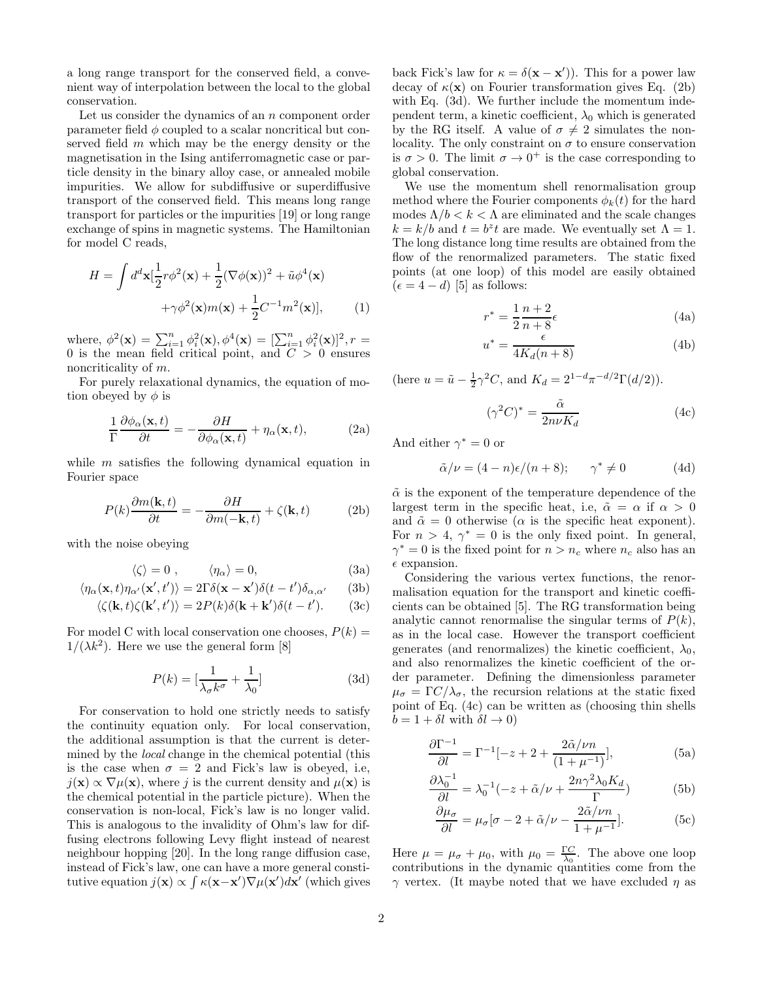a long range transport for the conserved field, a convenient way of interpolation between the local to the global conservation.

Let us consider the dynamics of an  $n$  component order parameter field  $\phi$  coupled to a scalar noncritical but conserved field m which may be the energy density or the magnetisation in the Ising antiferromagnetic case or particle density in the binary alloy case, or annealed mobile impurities. We allow for subdiffusive or superdiffusive transport of the conserved field. This means long range transport for particles or the impurities [19] or long range exchange of spins in magnetic systems. The Hamiltonian for model C reads,

$$
H = \int d^d \mathbf{x} \left[ \frac{1}{2} r \phi^2(\mathbf{x}) + \frac{1}{2} (\nabla \phi(\mathbf{x}))^2 + \tilde{u} \phi^4(\mathbf{x}) + \gamma \phi^2(\mathbf{x}) m(\mathbf{x}) + \frac{1}{2} C^{-1} m^2(\mathbf{x}) \right], \tag{1}
$$

where,  $\phi^2(\mathbf{x}) = \sum_{i=1}^n \phi_i^2(\mathbf{x}), \phi^4(\mathbf{x}) = [\sum_{i=1}^n \phi_i^2(\mathbf{x})]^2, r =$ 0 is the mean field critical point, and  $C > 0$  ensures noncriticality of m.

For purely relaxational dynamics, the equation of motion obeyed by  $\phi$  is

$$
\frac{1}{\Gamma} \frac{\partial \phi_{\alpha}(\mathbf{x},t)}{\partial t} = -\frac{\partial H}{\partial \phi_{\alpha}(\mathbf{x},t)} + \eta_{\alpha}(\mathbf{x},t),
$$
 (2a)

while  $m$  satisfies the following dynamical equation in Fourier space

$$
P(k)\frac{\partial m(\mathbf{k},t)}{\partial t} = -\frac{\partial H}{\partial m(-\mathbf{k},t)} + \zeta(\mathbf{k},t)
$$
 (2b)

with the noise obeying

$$
\langle \zeta \rangle = 0 , \qquad \langle \eta_{\alpha} \rangle = 0, \tag{3a}
$$

$$
\langle \eta_{\alpha}(\mathbf{x},t)\eta_{\alpha'}(\mathbf{x}',t')\rangle = 2\Gamma\delta(\mathbf{x}-\mathbf{x}')\delta(t-t')\delta_{\alpha,\alpha'} \qquad (3b)
$$

$$
\langle \zeta(\mathbf{k},t)\zeta(\mathbf{k}',t')\rangle = 2P(k)\delta(\mathbf{k}+\mathbf{k}')\delta(t-t'). \tag{3c}
$$

For model C with local conservation one chooses,  $P(k)$  =  $1/(\lambda k^2)$ . Here we use the general form [8]

$$
P(k) = \left[\frac{1}{\lambda_{\sigma}k^{\sigma}} + \frac{1}{\lambda_{0}}\right]
$$
 (3d)

For conservation to hold one strictly needs to satisfy the continuity equation only. For local conservation, the additional assumption is that the current is determined by the local change in the chemical potential (this is the case when  $\sigma = 2$  and Fick's law is obeyed, i.e,  $j(\mathbf{x}) \propto \nabla \mu(\mathbf{x})$ , where j is the current density and  $\mu(\mathbf{x})$  is the chemical potential in the particle picture). When the conservation is non-local, Fick's law is no longer valid. This is analogous to the invalidity of Ohm's law for diffusing electrons following Levy flight instead of nearest neighbour hopping [20]. In the long range diffusion case, instead of Fick's law, one can have a more general constitutive equation  $j(\mathbf{x}) \propto \int \kappa(\mathbf{x}-\mathbf{x}') \nabla \mu(\mathbf{x}') d\mathbf{x}'$  (which gives

back Fick's law for  $\kappa = \delta(\mathbf{x} - \mathbf{x}')$ ). This for a power law decay of  $\kappa(\mathbf{x})$  on Fourier transformation gives Eq. (2b) with Eq. (3d). We further include the momentum independent term, a kinetic coefficient,  $\lambda_0$  which is generated by the RG itself. A value of  $\sigma \neq 2$  simulates the nonlocality. The only constraint on  $\sigma$  to ensure conservation is  $\sigma > 0$ . The limit  $\sigma \to 0^+$  is the case corresponding to global conservation.

We use the momentum shell renormalisation group method where the Fourier components  $\phi_k(t)$  for the hard modes  $\Lambda/b < k < \Lambda$  are eliminated and the scale changes  $k = k/b$  and  $t = b^z t$  are made. We eventually set  $\Lambda = 1$ . The long distance long time results are obtained from the flow of the renormalized parameters. The static fixed points (at one loop) of this model are easily obtained  $(\epsilon = 4 - d)$  [5] as follows:

$$
r^* = \frac{1}{2} \frac{n+2}{n+8} \epsilon \tag{4a}
$$

$$
u^* = \frac{\epsilon}{4K_d(n+8)}\tag{4b}
$$

(here  $u = \tilde{u} - \frac{1}{2}\gamma^2 C$ , and  $K_d = 2^{1-d}\pi^{-d/2}\Gamma(d/2)$ ).

$$
(\gamma^2 C)^* = \frac{\tilde{\alpha}}{2n\nu K_d} \tag{4c}
$$

And either  $\gamma^* = 0$  or

$$
\tilde{\alpha}/\nu = (4-n)\epsilon/(n+8); \qquad \gamma^* \neq 0 \tag{4d}
$$

 $\tilde{\alpha}$  is the exponent of the temperature dependence of the largest term in the specific heat, i.e,  $\tilde{\alpha} = \alpha$  if  $\alpha > 0$ and  $\tilde{\alpha} = 0$  otherwise ( $\alpha$  is the specific heat exponent). For  $n > 4$ ,  $\gamma^* = 0$  is the only fixed point. In general,  $\gamma^* = 0$  is the fixed point for  $n > n_c$  where  $n_c$  also has an  $\epsilon$  expansion.

Considering the various vertex functions, the renormalisation equation for the transport and kinetic coefficients can be obtained [5]. The RG transformation being analytic cannot renormalise the singular terms of  $P(k)$ , as in the local case. However the transport coefficient generates (and renormalizes) the kinetic coefficient,  $\lambda_0$ , and also renormalizes the kinetic coefficient of the order parameter. Defining the dimensionless parameter  $\mu_{\sigma} = \Gamma C/\lambda_{\sigma}$ , the recursion relations at the static fixed point of Eq. (4c) can be written as (choosing thin shells  $b = 1 + \delta l$  with  $\delta l \rightarrow 0$ )

$$
\frac{\partial \Gamma^{-1}}{\partial l} = \Gamma^{-1}[-z + 2 + \frac{2\tilde{\alpha}/\nu n}{(1 + \mu^{-1})}],
$$
\n(5a)

$$
\frac{\partial \lambda_0^{-1}}{\partial l} = \lambda_0^{-1}(-z + \tilde{\alpha}/\nu + \frac{2n\gamma^2 \lambda_0 K_d}{\Gamma})
$$
 (5b)

$$
\frac{\partial \mu_{\sigma}}{\partial l} = \mu_{\sigma} [\sigma - 2 + \tilde{\alpha}/\nu - \frac{2\tilde{\alpha}/\nu n}{1 + \mu^{-1}}]. \tag{5c}
$$

Here  $\mu = \mu_{\sigma} + \mu_0$ , with  $\mu_0 = \frac{\Gamma C}{\lambda_0}$ . The above one loop contributions in the dynamic quantities come from the  $\gamma$  vertex. (It maybe noted that we have excluded  $\eta$  as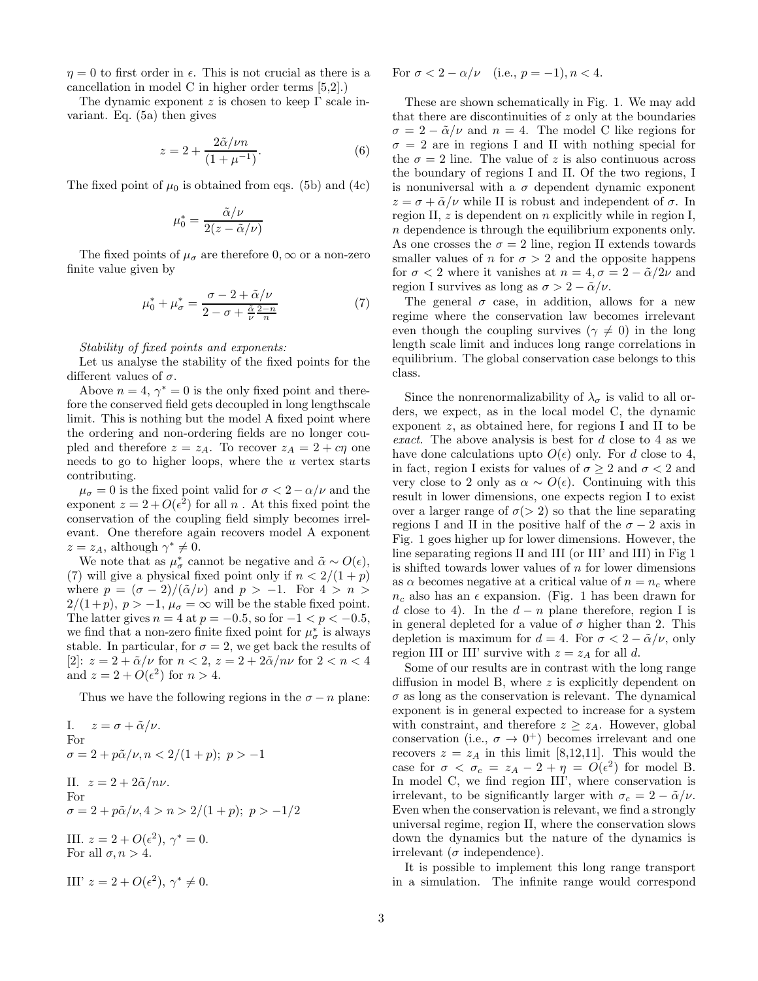$\eta = 0$  to first order in  $\epsilon$ . This is not crucial as there is a cancellation in model C in higher order terms [5,2].)

The dynamic exponent  $z$  is chosen to keep  $\Gamma$  scale invariant. Eq. (5a) then gives

$$
z = 2 + \frac{2\tilde{\alpha}/\nu n}{(1 + \mu^{-1})}.
$$
 (6)

The fixed point of  $\mu_0$  is obtained from eqs. (5b) and (4c)

$$
\mu_0^* = \frac{\tilde{\alpha}/\nu}{2(z - \tilde{\alpha}/\nu)}
$$

The fixed points of  $\mu_{\sigma}$  are therefore 0,  $\infty$  or a non-zero finite value given by

$$
\mu_0^* + \mu_\sigma^* = \frac{\sigma - 2 + \tilde{\alpha}/\nu}{2 - \sigma + \frac{\tilde{\alpha}}{\nu} \frac{2 - n}{n}}\tag{7}
$$

## Stability of fixed points and exponents:

Let us analyse the stability of the fixed points for the different values of  $\sigma$ .

Above  $n = 4$ ,  $\gamma^* = 0$  is the only fixed point and therefore the conserved field gets decoupled in long lengthscale limit. This is nothing but the model A fixed point where the ordering and non-ordering fields are no longer coupled and therefore  $z = z_A$ . To recover  $z_A = 2 + c\eta$  one needs to go to higher loops, where the  $u$  vertex starts contributing.

 $\mu_{\sigma} = 0$  is the fixed point valid for  $\sigma < 2 - \alpha/\nu$  and the exponent  $z = 2 + O(\epsilon^2)$  for all n. At this fixed point the conservation of the coupling field simply becomes irrelevant. One therefore again recovers model A exponent  $z = z_A$ , although  $\gamma^* \neq 0$ .

We note that as  $\mu^*_{\sigma}$  cannot be negative and  $\tilde{\alpha} \sim O(\epsilon)$ , (7) will give a physical fixed point only if  $n < 2/(1+p)$ where  $p = (\sigma - 2)/(\tilde{\alpha}/\nu)$  and  $p > -1$ . For  $4 > n >$  $2/(1+p)$ ,  $p > -1$ ,  $\mu_{\sigma} = \infty$  will be the stable fixed point. The latter gives  $n = 4$  at  $p = -0.5$ , so for  $-1 < p < -0.5$ , we find that a non-zero finite fixed point for  $\mu_{\sigma}^*$  is always stable. In particular, for  $\sigma = 2$ , we get back the results of [2]:  $z = 2 + \tilde{\alpha}/\nu$  for  $n < 2$ ,  $z = 2 + 2\tilde{\alpha}/n\nu$  for  $2 < n < 4$ and  $z = 2 + O(\epsilon^2)$  for  $n > 4$ .

Thus we have the following regions in the  $\sigma - n$  plane:

I.  $z = \sigma + \tilde{\alpha}/\nu$ . For  $\sigma = 2 + p\tilde{\alpha}/\nu, n < 2/(1+p); p > -1$ II.  $z = 2 + 2\tilde{\alpha}/n\nu$ . For  $\sigma = 2 + p\tilde{\alpha}/\nu, 4 > n > 2/(1+p); p > -1/2$ III.  $z = 2 + O(\epsilon^2), \, \gamma^* = 0.$ For all  $\sigma$ ,  $n > 4$ . III'  $z = 2 + O(\epsilon^2), \, \gamma^* \neq 0.$ 

For  $\sigma < 2 - \alpha/\nu$  (i.e.,  $p = -1$ ),  $n < 4$ .

These are shown schematically in Fig. 1. We may add that there are discontinuities of  $z$  only at the boundaries  $\sigma = 2 - \tilde{\alpha}/\nu$  and  $n = 4$ . The model C like regions for  $\sigma = 2$  are in regions I and II with nothing special for the  $\sigma = 2$  line. The value of z is also continuous across the boundary of regions I and II. Of the two regions, I is nonuniversal with a  $\sigma$  dependent dynamic exponent  $z = \sigma + \tilde{\alpha}/\nu$  while II is robust and independent of  $\sigma$ . In region II,  $z$  is dependent on  $n$  explicitly while in region I, n dependence is through the equilibrium exponents only. As one crosses the  $\sigma = 2$  line, region II extends towards smaller values of n for  $\sigma > 2$  and the opposite happens for  $\sigma < 2$  where it vanishes at  $n = 4, \sigma = 2 - \tilde{\alpha}/2\nu$  and region I survives as long as  $\sigma > 2 - \tilde{\alpha}/\nu$ .

The general  $\sigma$  case, in addition, allows for a new regime where the conservation law becomes irrelevant even though the coupling survives ( $\gamma \neq 0$ ) in the long length scale limit and induces long range correlations in equilibrium. The global conservation case belongs to this class.

Since the nonrenormalizability of  $\lambda_{\sigma}$  is valid to all orders, we expect, as in the local model C, the dynamic exponent z, as obtained here, for regions I and II to be exact. The above analysis is best for d close to 4 as we have done calculations upto  $O(\epsilon)$  only. For d close to 4, in fact, region I exists for values of  $\sigma \geq 2$  and  $\sigma < 2$  and very close to 2 only as  $\alpha \sim O(\epsilon)$ . Continuing with this result in lower dimensions, one expects region I to exist over a larger range of  $\sigma$ (> 2) so that the line separating regions I and II in the positive half of the  $\sigma - 2$  axis in Fig. 1 goes higher up for lower dimensions. However, the line separating regions II and III (or III' and III) in Fig 1 is shifted towards lower values of  $n$  for lower dimensions as  $\alpha$  becomes negative at a critical value of  $n = n_c$  where  $n_c$  also has an  $\epsilon$  expansion. (Fig. 1 has been drawn for d close to 4). In the  $d - n$  plane therefore, region I is in general depleted for a value of  $\sigma$  higher than 2. This depletion is maximum for  $d = 4$ . For  $\sigma < 2 - \tilde{\alpha}/\nu$ , only region III or III' survive with  $z = z_A$  for all d.

Some of our results are in contrast with the long range diffusion in model B, where z is explicitly dependent on  $\sigma$  as long as the conservation is relevant. The dynamical exponent is in general expected to increase for a system with constraint, and therefore  $z \geq z_A$ . However, global conservation (i.e.,  $\sigma \to 0^+$ ) becomes irrelevant and one recovers  $z = z_A$  in this limit [8,12,11]. This would the case for  $\sigma < \sigma_c = z_A - 2 + \eta = O(\epsilon^2)$  for model B. In model C, we find region III', where conservation is irrelevant, to be significantly larger with  $\sigma_c = 2 - \tilde{\alpha}/\nu$ . Even when the conservation is relevant, we find a strongly universal regime, region II, where the conservation slows down the dynamics but the nature of the dynamics is irrelevant ( $\sigma$  independence).

It is possible to implement this long range transport in a simulation. The infinite range would correspond